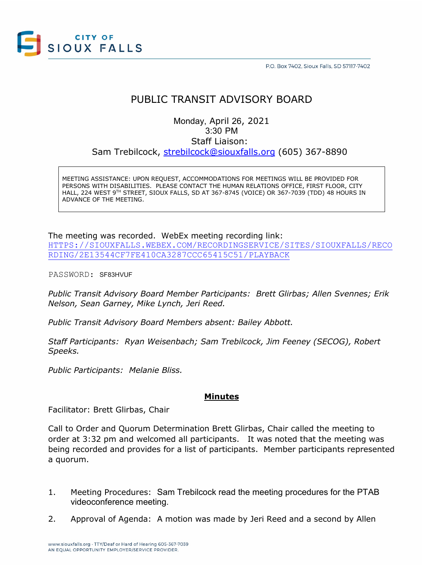

P.O. Box 7402, Sioux Falls, SD 57117-7402

# PUBLIC TRANSIT ADVISORY BOARD

Monday, April 26, 2021 3:30 PM Staff Liaison: Sam Trebilcock, [strebilcock@siouxfalls.org](mailto:strebilcock@siouxfalls.org) (605) 367-8890

MEETING ASSISTANCE: UPON REQUEST, ACCOMMODATIONS FOR MEETINGS WILL BE PROVIDED FOR PERSONS WITH DISABILITIES. PLEASE CONTACT THE HUMAN RELATIONS OFFICE, FIRST FLOOR, CITY HALL, 224 WEST 9TH STREET, SIOUX FALLS, SD AT 367-8745 (VOICE) OR 367-7039 (TDD) 48 HOURS IN ADVANCE OF THE MEETING.

### The meeting was recorded. WebEx meeting recording link:

[HTTPS://SIOUXFALLS.WEBEX.COM/RECORDINGSERVICE/SITES/SIOUXFALLS/RECO](https://siouxfalls.webex.com/recordingservice/sites/siouxfalls/recording/2e13544cf7fe410ca3287ccc65415c51/playback) [RDING/2E13544CF7FE410CA3287CCC65415C51/PLAYBACK](https://siouxfalls.webex.com/recordingservice/sites/siouxfalls/recording/2e13544cf7fe410ca3287ccc65415c51/playback)

PASSWORD: SF83HVUF

*Public Transit Advisory Board Member Participants: Brett Glirbas; Allen Svennes; Erik Nelson, Sean Garney, Mike Lynch, Jeri Reed.*

*Public Transit Advisory Board Members absent: Bailey Abbott.*

*Staff Participants: Ryan Weisenbach; Sam Trebilcock, Jim Feeney (SECOG), Robert Speeks.*

*Public Participants: Melanie Bliss.*

## **Minutes**

Facilitator: Brett Glirbas, Chair

Call to Order and Quorum Determination Brett Glirbas, Chair called the meeting to order at 3:32 pm and welcomed all participants. It was noted that the meeting was being recorded and provides for a list of participants. Member participants represented a quorum.

- 1. Meeting Procedures: Sam Trebilcock read the meeting procedures for the PTAB videoconference meeting.
- 2. Approval of Agenda: A motion was made by Jeri Reed and a second by Allen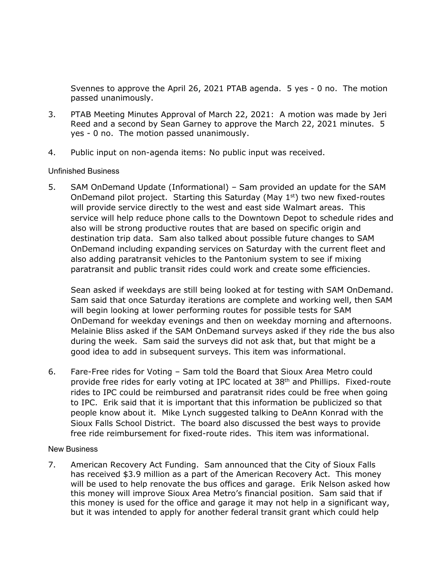Svennes to approve the April 26, 2021 PTAB agenda. 5 yes - 0 no. The motion passed unanimously.

- 3. PTAB Meeting Minutes Approval of March 22, 2021: A motion was made by Jeri Reed and a second by Sean Garney to approve the March 22, 2021 minutes. 5 yes - 0 no. The motion passed unanimously.
- 4. Public input on non-agenda items: No public input was received.

## Unfinished Business

5. SAM OnDemand Update (Informational) – Sam provided an update for the SAM OnDemand pilot project. Starting this Saturday (May  $1<sup>st</sup>$ ) two new fixed-routes will provide service directly to the west and east side Walmart areas. This service will help reduce phone calls to the Downtown Depot to schedule rides and also will be strong productive routes that are based on specific origin and destination trip data. Sam also talked about possible future changes to SAM OnDemand including expanding services on Saturday with the current fleet and also adding paratransit vehicles to the Pantonium system to see if mixing paratransit and public transit rides could work and create some efficiencies.

Sean asked if weekdays are still being looked at for testing with SAM OnDemand. Sam said that once Saturday iterations are complete and working well, then SAM will begin looking at lower performing routes for possible tests for SAM OnDemand for weekday evenings and then on weekday morning and afternoons. Melainie Bliss asked if the SAM OnDemand surveys asked if they ride the bus also during the week. Sam said the surveys did not ask that, but that might be a good idea to add in subsequent surveys. This item was informational.

6. Fare-Free rides for Voting – Sam told the Board that Sioux Area Metro could provide free rides for early voting at IPC located at 38th and Phillips. Fixed-route rides to IPC could be reimbursed and paratransit rides could be free when going to IPC. Erik said that it is important that this information be publicized so that people know about it. Mike Lynch suggested talking to DeAnn Konrad with the Sioux Falls School District. The board also discussed the best ways to provide free ride reimbursement for fixed-route rides. This item was informational.

## New Business

7. American Recovery Act Funding. Sam announced that the City of Sioux Falls has received \$3.9 million as a part of the American Recovery Act. This money will be used to help renovate the bus offices and garage. Erik Nelson asked how this money will improve Sioux Area Metro's financial position. Sam said that if this money is used for the office and garage it may not help in a significant way, but it was intended to apply for another federal transit grant which could help